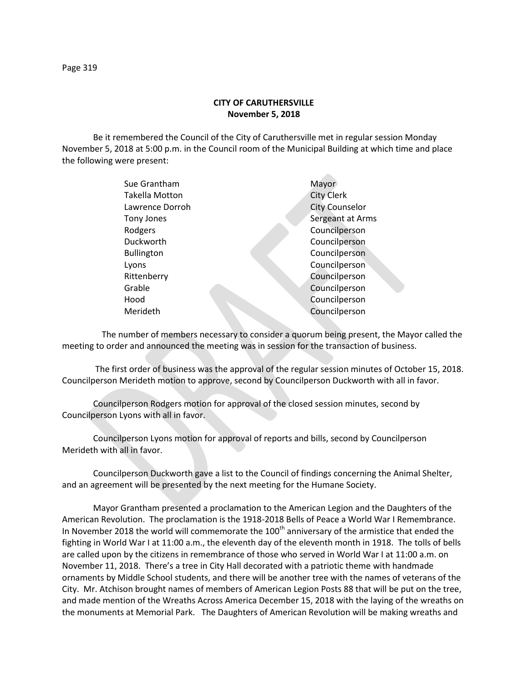Be it remembered the Council of the City of Caruthersville met in regular session Monday November 5, 2018 at 5:00 p.m. in the Council room of the Municipal Building at which time and place the following were present:

| Sue Grantham      | Mayor                 |
|-------------------|-----------------------|
| Takella Motton    | <b>City Clerk</b>     |
| Lawrence Dorroh   | <b>City Counselor</b> |
| Tony Jones        | Sergeant at Arms      |
| Rodgers           | Councilperson         |
| Duckworth         | Councilperson         |
| <b>Bullington</b> | Councilperson         |
| Lyons             | Councilperson         |
| Rittenberry       | Councilperson         |
| Grable            | Councilperson         |
| Hood              | Councilperson         |
| Merideth          | Councilperson         |
|                   |                       |

 The number of members necessary to consider a quorum being present, the Mayor called the meeting to order and announced the meeting was in session for the transaction of business.

The first order of business was the approval of the regular session minutes of October 15, 2018. Councilperson Merideth motion to approve, second by Councilperson Duckworth with all in favor.

Councilperson Rodgers motion for approval of the closed session minutes, second by Councilperson Lyons with all in favor.

Councilperson Lyons motion for approval of reports and bills, second by Councilperson Merideth with all in favor.

Councilperson Duckworth gave a list to the Council of findings concerning the Animal Shelter, and an agreement will be presented by the next meeting for the Humane Society.

Mayor Grantham presented a proclamation to the American Legion and the Daughters of the American Revolution. The proclamation is the 1918-2018 Bells of Peace a World War I Remembrance. In November 2018 the world will commemorate the 100<sup>th</sup> anniversary of the armistice that ended the fighting in World War I at 11:00 a.m., the eleventh day of the eleventh month in 1918. The tolls of bells are called upon by the citizens in remembrance of those who served in World War I at 11:00 a.m. on November 11, 2018. There's a tree in City Hall decorated with a patriotic theme with handmade ornaments by Middle School students, and there will be another tree with the names of veterans of the City. Mr. Atchison brought names of members of American Legion Posts 88 that will be put on the tree, and made mention of the Wreaths Across America December 15, 2018 with the laying of the wreaths on the monuments at Memorial Park. The Daughters of American Revolution will be making wreaths and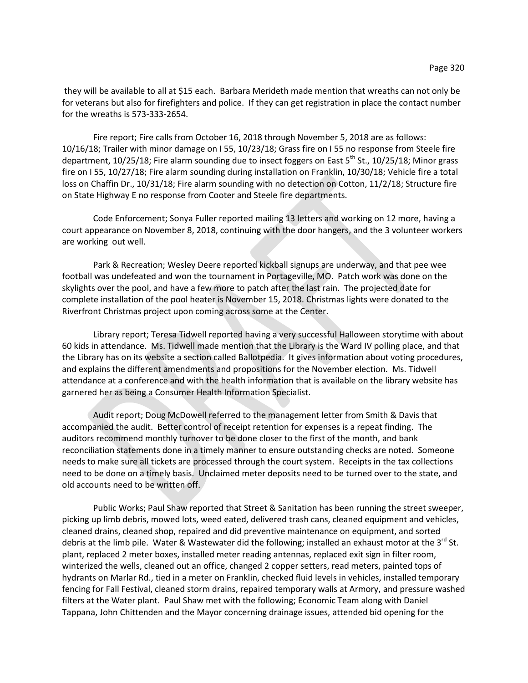they will be available to all at \$15 each. Barbara Merideth made mention that wreaths can not only be for veterans but also for firefighters and police. If they can get registration in place the contact number for the wreaths is 573-333-2654.

Fire report; Fire calls from October 16, 2018 through November 5, 2018 are as follows: 10/16/18; Trailer with minor damage on I 55, 10/23/18; Grass fire on I 55 no response from Steele fire department,  $10/25/18$ ; Fire alarm sounding due to insect foggers on East  $5^{th}$  St.,  $10/25/18$ ; Minor grass fire on I 55, 10/27/18; Fire alarm sounding during installation on Franklin, 10/30/18; Vehicle fire a total loss on Chaffin Dr., 10/31/18; Fire alarm sounding with no detection on Cotton, 11/2/18; Structure fire on State Highway E no response from Cooter and Steele fire departments.

Code Enforcement; Sonya Fuller reported mailing 13 letters and working on 12 more, having a court appearance on November 8, 2018, continuing with the door hangers, and the 3 volunteer workers are working out well.

Park & Recreation; Wesley Deere reported kickball signups are underway, and that pee wee football was undefeated and won the tournament in Portageville, MO. Patch work was done on the skylights over the pool, and have a few more to patch after the last rain. The projected date for complete installation of the pool heater is November 15, 2018. Christmas lights were donated to the Riverfront Christmas project upon coming across some at the Center.

Library report; Teresa Tidwell reported having a very successful Halloween storytime with about 60 kids in attendance. Ms. Tidwell made mention that the Library is the Ward IV polling place, and that the Library has on its website a section called Ballotpedia. It gives information about voting procedures, and explains the different amendments and propositions for the November election. Ms. Tidwell attendance at a conference and with the health information that is available on the library website has garnered her as being a Consumer Health Information Specialist.

Audit report; Doug McDowell referred to the management letter from Smith & Davis that accompanied the audit. Better control of receipt retention for expenses is a repeat finding. The auditors recommend monthly turnover to be done closer to the first of the month, and bank reconciliation statements done in a timely manner to ensure outstanding checks are noted. Someone needs to make sure all tickets are processed through the court system. Receipts in the tax collections need to be done on a timely basis. Unclaimed meter deposits need to be turned over to the state, and old accounts need to be written off.

Public Works; Paul Shaw reported that Street & Sanitation has been running the street sweeper, picking up limb debris, mowed lots, weed eated, delivered trash cans, cleaned equipment and vehicles, cleaned drains, cleaned shop, repaired and did preventive maintenance on equipment, and sorted debris at the limb pile. Water & Wastewater did the following; installed an exhaust motor at the 3<sup>rd</sup> St. plant, replaced 2 meter boxes, installed meter reading antennas, replaced exit sign in filter room, winterized the wells, cleaned out an office, changed 2 copper setters, read meters, painted tops of hydrants on Marlar Rd., tied in a meter on Franklin, checked fluid levels in vehicles, installed temporary fencing for Fall Festival, cleaned storm drains, repaired temporary walls at Armory, and pressure washed filters at the Water plant. Paul Shaw met with the following; Economic Team along with Daniel Tappana, John Chittenden and the Mayor concerning drainage issues, attended bid opening for the